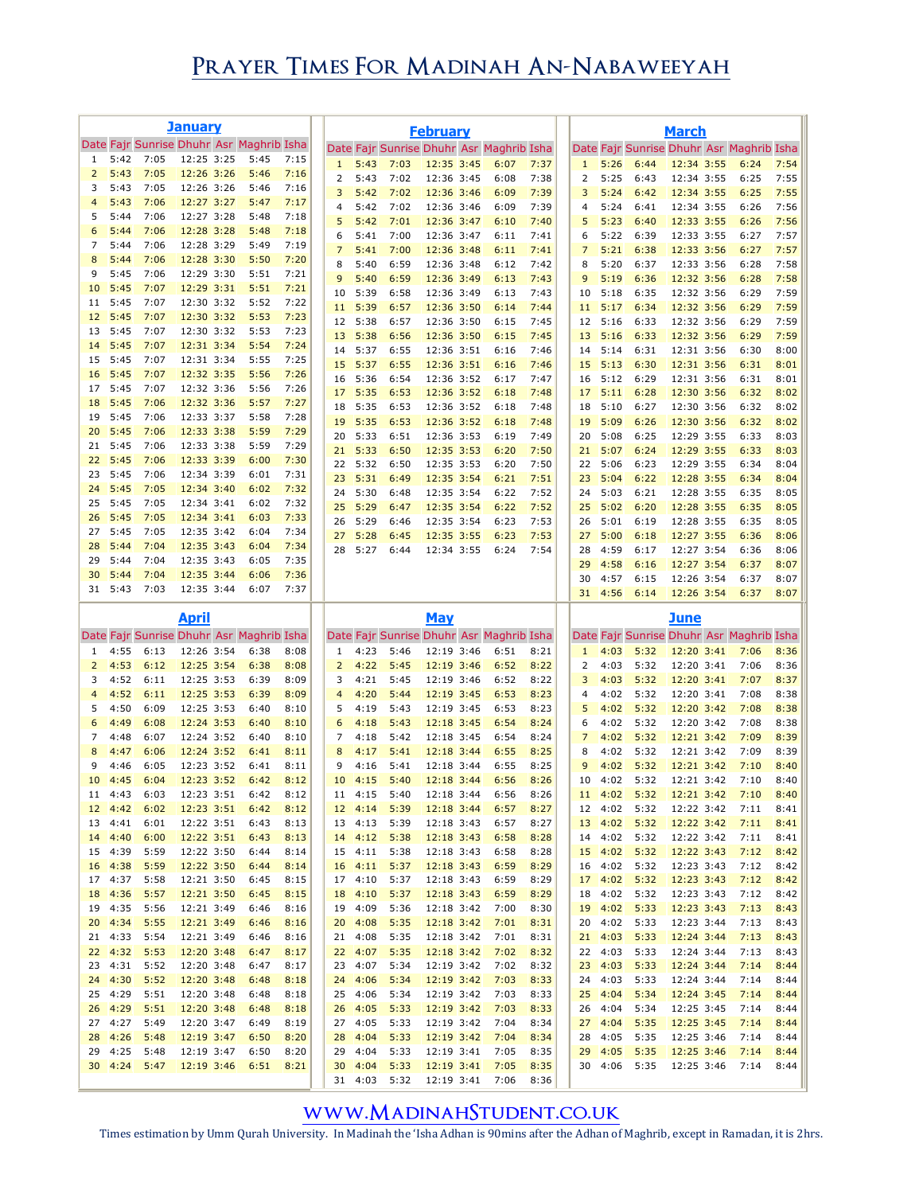## **Prayer Times For Madinah An-Nabaweeyah**

|                     |                    |              | <u>January</u>                                         |              |              |                     |                    |                                                  | <b>February</b>          |              |              |                |                 |                                                  | <b>March</b>             |      |              |              |
|---------------------|--------------------|--------------|--------------------------------------------------------|--------------|--------------|---------------------|--------------------|--------------------------------------------------|--------------------------|--------------|--------------|----------------|-----------------|--------------------------------------------------|--------------------------|------|--------------|--------------|
|                     |                    |              | Date Fajr Sunrise Dhuhr Asr Maghrib Isha               |              |              |                     |                    | Date Fajr Sunrise Dhuhr Asr Maghrib Isha         |                          |              |              |                |                 | Date Fajr Sunrise Dhuhr Asr Maghrib Isha         |                          |      |              |              |
| 1<br>$\overline{2}$ | 5:42<br>5:43       | 7:05<br>7:05 | 12:25 3:25<br>12:26 3:26                               | 5:45<br>5:46 | 7:15<br>7:16 | $\mathbf{1}$        | 5:43               | 7:03                                             | 12:35 3:45               | 6:07         | 7:37         | $\mathbf{1}$   | 5:26            | 6:44                                             | 12:34 3:55               |      | 6:24         | 7:54         |
| 3                   | 5:43               | 7:05         | 12:26 3:26                                             | 5:46         | 7:16         | 2<br>3              | 5:43<br>5:42       | 7:02<br>7:02                                     | 12:36 3:45<br>12:36 3:46 | 6:08<br>6:09 | 7:38<br>7:39 | 2<br>3         | 5:25<br>5:24    | 6:43<br>6:42                                     | 12:34 3:55<br>12:34 3:55 |      | 6:25<br>6:25 | 7:55<br>7:55 |
| $\overline{4}$      | 5:43               | 7:06         | 12:27 3:27                                             | 5:47         | 7:17         | 4                   | 5:42               | 7:02                                             | 12:36 3:46               | 6:09         | 7:39         | 4              | 5:24            | 6:41                                             | 12:34 3:55               |      | 6:26         | 7:56         |
| 5<br>6              | 5:44<br>5:44       | 7:06<br>7:06 | 12:27 3:28<br>12:28 3:28                               | 5:48<br>5:48 | 7:18<br>7:18 | 5                   | 5:42               | 7:01                                             | 12:36 3:47               | 6:10         | 7:40         | 5              | 5:23            | 6:40                                             | 12:33 3:55               |      | 6:26         | 7:56         |
| 7                   | 5:44               | 7:06         | 12:28 3:29                                             | 5:49         | 7:19         | 6<br>7              | 5:41<br>5:41       | 7:00<br>7:00                                     | 12:36 3:47<br>12:36 3:48 | 6:11<br>6:11 | 7:41<br>7:41 | 6<br>7         | 5:22<br>5:21    | 6:39<br>6:38                                     | 12:33 3:55<br>12:33 3:56 |      | 6:27<br>6:27 | 7:57<br>7:57 |
| 8                   | 5:44               | 7:06         | 12:28 3:30                                             | 5:50         | 7:20         | 8                   | 5:40               | 6:59                                             | 12:36 3:48               | 6:12         | 7:42         | 8              | 5:20            | 6:37                                             | 12:33 3:56               |      | 6:28         | 7:58         |
| 9<br>10             | 5:45<br>5:45       | 7:06<br>7:07 | 12:29 3:30<br>12:29 3:31                               | 5:51<br>5:51 | 7:21<br>7:21 | 9                   | 5:40               | 6:59                                             | 12:36 3:49               | 6:13         | 7:43         | 9              | 5:19            | 6:36                                             | 12:32 3:56               |      | 6:28         | 7:58         |
| 11                  | 5:45               | 7:07         | 12:30 3:32                                             | 5:52         | 7:22         | 10<br>11            | 5:39<br>5:39       | 6:58<br>6:57                                     | 12:36 3:49<br>12:36 3:50 | 6:13<br>6:14 | 7:43<br>7:44 | 10<br>11       | 5:18<br>5:17    | 6:35<br>6:34                                     | 12:32 3:56<br>12:32 3:56 |      | 6:29<br>6:29 | 7:59<br>7:59 |
| 12                  | 5:45               | 7:07         | 12:30 3:32                                             | 5:53         | 7:23         | 12                  | 5:38               | 6:57                                             | 12:36 3:50               | 6:15         | 7:45         | 12             | 5:16            | 6:33                                             | 12:32 3:56               |      | 6:29         | 7:59         |
| 13<br>14            | 5:45<br>5:45       | 7:07<br>7:07 | 12:30 3:32<br>12:31 3:34                               | 5:53<br>5:54 | 7:23<br>7:24 | 13                  | 5:38               | 6:56                                             | 12:36 3:50               | 6:15         | 7:45         | 13             | 5:16            | 6:33                                             | 12:32 3:56               |      | 6:29         | 7:59         |
| 15                  | 5:45               | 7:07         | 12:31 3:34                                             | 5:55         | 7:25         | 14<br>15            | 5:37<br>5:37       | 6:55<br>6:55                                     | 12:36 3:51<br>12:36 3:51 | 6:16<br>6:16 | 7:46<br>7:46 | 14<br>15       | 5:14<br>5:13    | 6:31<br>6:30                                     | 12:31 3:56<br>12:31 3:56 |      | 6:30<br>6:31 | 8:00<br>8:01 |
| 16                  | 5:45               | 7:07         | 12:32 3:35                                             | 5:56         | 7:26         | 16                  | 5:36               | 6:54                                             | 12:36 3:52               | 6:17         | 7:47         | 16             | 5:12            | 6:29                                             | 12:31 3:56               |      | 6:31         | 8:01         |
| 17<br>18            | 5:45<br>5:45       | 7:07<br>7:06 | 12:32 3:36<br>12:32 3:36                               | 5:56<br>5:57 | 7:26<br>7:27 | 17                  | 5:35               | 6:53                                             | 12:36 3:52               | 6:18         | 7:48         | 17             | 5:11            | 6:28                                             | 12:30 3:56               |      | 6:32         | 8:02         |
| 19                  | 5:45               | 7:06         | 12:33 3:37                                             | 5:58         | 7:28         | 18<br>19            | 5:35<br>5:35       | 6:53<br>6:53                                     | 12:36 3:52<br>12:36 3:52 | 6:18<br>6:18 | 7:48<br>7:48 | 18<br>19       | 5:10<br>5:09    | 6:27<br>6:26                                     | 12:30 3:56<br>12:30 3:56 |      | 6:32<br>6:32 | 8:02<br>8:02 |
| 20                  | 5:45               | 7:06         | 12:33 3:38                                             | 5:59         | 7:29         | 20                  | 5:33               | 6:51                                             | 12:36 3:53               | 6:19         | 7:49         | 20             | 5:08            | 6:25                                             | 12:29 3:55               |      | 6:33         | 8:03         |
| 21<br>22            | 5:45<br>5:45       | 7:06<br>7:06 | 12:33 3:38<br>12:33 3:39                               | 5:59<br>6:00 | 7:29<br>7:30 | 21                  | 5:33               | 6:50                                             | 12:35 3:53               | 6:20         | 7:50         | 21             | 5:07            | 6:24                                             | 12:29 3:55               |      | 6:33         | 8:03         |
| 23                  | 5:45               | 7:06         | 12:34 3:39                                             | 6:01         | 7:31         | 22<br>23            | 5:32<br>5:31       | 6:50<br>6:49                                     | 12:35 3:53<br>12:35 3:54 | 6:20<br>6:21 | 7:50<br>7:51 | 22<br>23       | 5:06<br>5:04    | 6:23<br>6:22                                     | 12:29 3:55<br>12:28 3:55 |      | 6:34<br>6:34 | 8:04<br>8:04 |
| 24                  | 5:45               | 7:05         | 12:34 3:40                                             | 6:02         | 7:32         | 24                  | 5:30               | 6:48                                             | 12:35 3:54               | 6:22         | 7:52         | 24             | 5:03            | 6:21                                             | 12:28 3:55               |      | 6:35         | 8:05         |
| 25<br>26            | 5:45               | 7:05         | 12:34 3:41                                             | 6:02         | 7:32         | 25                  | 5:29               | 6:47                                             | 12:35 3:54               | 6:22         | 7:52         | 25             | 5:02            | 6:20                                             | 12:28                    | 3:55 | 6:35         | 8:05         |
| 27                  | 5:45<br>5:45       | 7:05<br>7:05 | 12:34 3:41<br>12:35 3:42                               | 6:03<br>6:04 | 7:33<br>7:34 | 26                  | 5:29               | 6:46                                             | 12:35 3:54               | 6:23         | 7:53         | 26             | 5:01            | 6:19                                             | 12:28 3:55               |      | 6:35         | 8:05         |
| 28                  | 5:44               | 7:04         | 12:35 3:43                                             | 6:04         | 7:34         | 27<br>28            | 5:28<br>5:27       | 6:45<br>6:44                                     | 12:35 3:55<br>12:34 3:55 | 6:23<br>6:24 | 7:53<br>7:54 | 27<br>28       | 5:00<br>4:59    | 6:18<br>6:17                                     | 12:27 3:55<br>12:27 3:54 |      | 6:36<br>6:36 | 8:06<br>8:06 |
| 29                  | 5:44               | 7:04         | 12:35 3:43                                             | 6:05         | 7:35         |                     |                    |                                                  |                          |              |              | 29             | 4:58            | 6:16                                             | 12:27 3:54               |      | 6:37         | 8:07         |
| 30                  | 5:44<br>31 5:43    | 7:04<br>7:03 | 12:35 3:44<br>12:35 3:44                               | 6:06<br>6:07 | 7:36<br>7:37 |                     |                    |                                                  |                          |              |              | 30             | 4:57            | 6:15                                             | 12:26 3:54               |      | 6:37         | 8:07         |
|                     |                    |              |                                                        |              |              |                     |                    |                                                  |                          |              |              | 31             | 4:56            | 6:14                                             | 12:26 3:54               |      | 6:37         | 8:07         |
|                     |                    |              |                                                        |              |              |                     |                    |                                                  |                          |              |              |                |                 |                                                  |                          |      |              |              |
|                     |                    |              | <b>April</b>                                           |              |              |                     |                    |                                                  | <b>May</b>               |              |              |                |                 |                                                  | June                     |      |              |              |
| 1                   | 4:55               | 6:13         | Date Fajr Sunrise Dhuhr Asr Maghrib Isha<br>12:26 3:54 | 6:38         | 8:08         | $\mathbf{1}$        | 4:23               | Date Fajr Sunrise Dhuhr Asr Maghrib Isha<br>5:46 | 12:19 3:46               | 6:51         | 8:21         | $\mathbf{1}$   | 4:03            | Date Fajr Sunrise Dhuhr Asr Maghrib Isha<br>5:32 | 12:20 3:41               |      | 7:06         | 8:36         |
| $\overline{2}$      | 4:53               | 6:12         | 12:25 3:54                                             | 6:38         | 8:08         | $\overline{2}$      | 4:22               | 5:45                                             | 12:19 3:46               | 6:52         | 8:22         | 2              | 4:03            | 5:32                                             | 12:20 3:41               |      | 7:06         | 8:36         |
| 3                   | 4:52               | 6:11         | 12:25 3:53                                             | 6:39         | 8:09         | 3                   | 4:21               | 5:45                                             | 12:19 3:46               | 6:52         | 8:22         | 3              | 4:03            | 5:32                                             | 12:20 3:41               |      | 7:07         | 8:37         |
| $\overline{4}$<br>5 | 4:52<br>4:50       | 6:11<br>6:09 | 12:25 3:53<br>12:25 3:53                               | 6:39<br>6:40 | 8:09<br>8:10 | $\overline{4}$<br>5 | 4:20<br>4:19       | 5:44<br>5:43                                     | 12:19 3:45<br>12:19 3:45 | 6:53<br>6:53 | 8:23<br>8:23 | 4<br>5         | 4:02<br>4:02    | 5:32<br>5:32                                     | 12:20 3:41<br>12:20 3:42 |      | 7:08<br>7:08 | 8:38<br>8:38 |
| 6                   | 4:49               | 6:08         | 12:24 3:53                                             | 6:40         | 8:10         | 6                   | 4:18               | 5:43                                             | 12:18 3:45               | 6:54         | 8:24         | 6              | 4:02            | 5:32                                             | 12:20 3:42               |      | 7:08         | 8:38         |
| 7                   | 4:48               | 6:07         | 12:24 3:52                                             | 6:40         | 8:10         | 7                   | 4:18               | 5:42                                             | 12:18 3:45               | 6:54         | 8:24         | $\overline{7}$ | 4:02            | 5:32                                             | 12:21 3:42               |      | 7:09         | 8:39         |
| 8<br>9              | 4:47<br>4:46       | 6:06<br>6:05 | 12:24 3:52<br>12:23 3:52                               | 6:41<br>6:41 | 8:11<br>8:11 | 8<br>9              | 4:17<br>4:16       | 5:41<br>5:41                                     | 12:18 3:44<br>12:18 3:44 | 6:55<br>6:55 | 8:25<br>8:25 | 8<br>9         | 4:02<br>4:02    | 5:32<br>5:32                                     | 12:21 3:42<br>12:21 3:42 |      | 7:09<br>7:10 | 8:39<br>8:40 |
| 10                  | 4:45               | 6:04         | 12:23 3:52                                             | 6:42         | 8:12         | 10                  | 4:15               | 5:40                                             | 12:18 3:44               | 6:56         | 8:26         | 10             | 4:02            | 5:32                                             | 12:21 3:42               |      | 7:10         | 8:40         |
|                     | 11 4:43            | 6:03         | 12:23 3:51                                             | 6:42         | 8:12         |                     | 11 4:15            | 5:40                                             | 12:18 3:44               | 6:56         | 8:26         |                | 11 4:02         | 5:32                                             | 12:21 3:42               |      | 7:10         | 8:40         |
|                     | 12 4:42<br>13 4:41 | 6:02<br>6:01 | 12:23 3:51<br>12:22 3:51                               | 6:42<br>6:43 | 8:12<br>8:13 |                     | 12 4:14<br>13 4:13 | 5:39<br>5:39                                     | 12:18 3:44<br>12:18 3:43 | 6:57<br>6:57 | 8:27<br>8:27 | 13             | 12 4:02<br>4:02 | 5:32<br>5:32                                     | 12:22 3:42<br>12:22 3:42 |      | 7:11<br>7:11 | 8:41<br>8:41 |
| 14                  | 4:40               | 6:00         | 12:22 3:51                                             | 6:43         | 8:13         |                     | 14 4:12            | 5:38                                             | 12:18 3:43               | 6:58         | 8:28         |                | 14 4:02         | 5:32                                             | 12:22 3:42               |      | 7:11         | 8:41         |
| 15                  | 4:39               | 5:59         | 12:22 3:50                                             | 6:44         | 8:14         |                     | 15 4:11            | 5:38                                             | 12:18 3:43               | 6:58         | 8:28         | 15             | 4:02            | 5:32                                             | 12:22 3:43               |      | 7:12         | 8:42         |
| 16<br>17            | 4:38<br>4:37       | 5:59<br>5:58 | 12:22 3:50<br>12:21 3:50                               | 6:44<br>6:45 | 8:14         | 16                  | 4:11               | 5:37<br>5:37                                     | 12:18 3:43               | 6:59<br>6:59 | 8:29<br>8:29 | 16<br>17       | 4:02<br>4:02    | 5:32<br>5:32                                     | 12:23 3:43               |      | 7:12<br>7:12 | 8:42<br>8:42 |
| 18                  | 4:36               | 5:57         | 12:21 3:50                                             | 6:45         | 8:15<br>8:15 | 18                  | 17 4:10<br>4:10    | 5:37                                             | 12:18 3:43<br>12:18 3:43 | 6:59         | 8:29         | 18             | 4:02            | 5:32                                             | 12:23 3:43<br>12:23 3:43 |      | 7:12         | 8:42         |
| 19                  | 4:35               | 5:56         | 12:21 3:49                                             | 6:46         | 8:16         |                     | 19 4:09            | 5:36                                             | 12:18 3:42               | 7:00         | 8:30         | 19             | 4:02            | 5:33                                             | 12:23 3:43               |      | 7:13         | 8:43         |
| 20 <sub>2</sub>     | 4:34<br>21 4:33    | 5:55<br>5:54 | 12:21 3:49<br>12:21 3:49                               | 6:46<br>6:46 | 8:16<br>8:16 | 20                  | 4:08<br>21 4:08    | 5:35<br>5:35                                     | 12:18 3:42<br>12:18 3:42 | 7:01<br>7:01 | 8:31<br>8:31 | 20<br>21       | 4:02<br>4:03    | 5:33<br>5:33                                     | 12:23 3:44<br>12:24 3:44 |      | 7:13<br>7:13 | 8:43<br>8:43 |
| 22 <sub>2</sub>     | 4:32               | 5:53         | 12:20 3:48                                             | 6:47         | 8:17         |                     | 22 4:07            | 5:35                                             | 12:18 3:42               | 7:02         | 8:32         |                | 22 4:03         | 5:33                                             | 12:24 3:44               |      | 7:13         | 8:43         |
| 23                  | 4:31               | 5:52         | 12:20 3:48                                             | 6:47         | 8:17         | 23                  | 4:07               | 5:34                                             | 12:19 3:42               | 7:02         | 8:32         | 23             | 4:03            | 5:33                                             | 12:24 3:44               |      | 7:14         | 8:44         |
| 24                  | 4:30               | 5:52         | 12:20 3:48                                             | 6:48         | 8:18         | 24                  | 4:06               | 5:34                                             | 12:19 3:42               | 7:03         | 8:33         | 24             | 4:03            | 5:33                                             | 12:24 3:44               |      | 7:14         | 8:44         |
| 25<br>26            | 4:29<br>4:29       | 5:51<br>5:51 | 12:20 3:48<br>12:20 3:48                               | 6:48<br>6:48 | 8:18<br>8:18 | 26                  | 25 4:06<br>4:05    | 5:34<br>5:33                                     | 12:19 3:42<br>12:19 3:42 | 7:03<br>7:03 | 8:33<br>8:33 | 25<br>26       | 4:04<br>4:04    | 5:34<br>5:34                                     | 12:24 3:45<br>12:25 3:45 |      | 7:14<br>7:14 | 8:44<br>8:44 |
| 27                  | 4:27               | 5:49         | 12:20 3:47                                             | 6:49         | 8:19         |                     | 27 4:05            | 5:33                                             | 12:19 3:42               | 7:04         | 8:34         | 27             | 4:04            | 5:35                                             | 12:25 3:45               |      | 7:14         | 8:44         |
| 28                  | 4:26               | 5:48         | 12:19 3:47                                             | 6:50         | 8:20         | 28                  | 4:04               | 5:33                                             | 12:19 3:42               | 7:04         | 8:34         | 28             | 4:05            | 5:35                                             | 12:25 3:46               |      | 7:14         | 8:44         |
| 29                  | 4:25<br>30 4:24    | 5:48<br>5:47 | 12:19 3:47<br>12:19 3:46                               | 6:50<br>6:51 | 8:20<br>8:21 | 29<br>30            | 4:04<br>4:04       | 5:33<br>5:33                                     | 12:19 3:41<br>12:19 3:41 | 7:05<br>7:05 | 8:35<br>8:35 | 29<br>30       | 4:05<br>4:06    | 5:35<br>5:35                                     | 12:25 3:46<br>12:25 3:46 |      | 7:14<br>7:14 | 8:44<br>8:44 |

## **www.MadinahStudent.co.uk**

Times estimation by Umm Qurah University. In Madinah the 'Isha Adhan is 90mins after the Adhan of Maghrib, except in Ramadan, it is 2hrs.